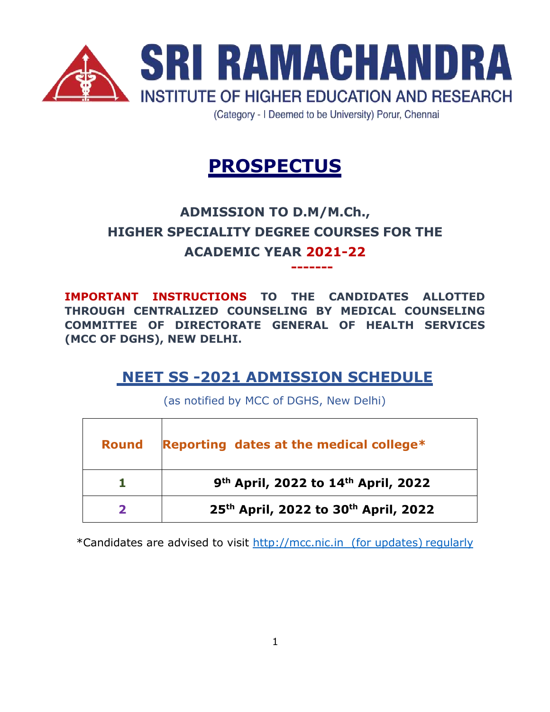

(Category - I Deemed to be University) Porur, Chennai

**-------**

# **PROSPECTUS**

# **ADMISSION TO D.M/M.Ch., HIGHER SPECIALITY DEGREE COURSES FOR THE ACADEMIC YEAR 2021-22**

**IMPORTANT INSTRUCTIONS TO THE CANDIDATES ALLOTTED THROUGH CENTRALIZED COUNSELING BY MEDICAL COUNSELING COMMITTEE OF DIRECTORATE GENERAL OF HEALTH SERVICES (MCC OF DGHS), NEW DELHI.**

### **NEET SS -2021 ADMISSION SCHEDULE**

(as notified by MCC of DGHS, New Delhi)

| <b>Round</b> | Reporting dates at the medical college*                      |
|--------------|--------------------------------------------------------------|
|              | 9 <sup>th</sup> April, 2022 to 14 <sup>th</sup> April, 2022  |
|              | 25 <sup>th</sup> April, 2022 to 30 <sup>th</sup> April, 2022 |

\*Candidates are advised to visit http://mcc.nic.in (for updates) regularly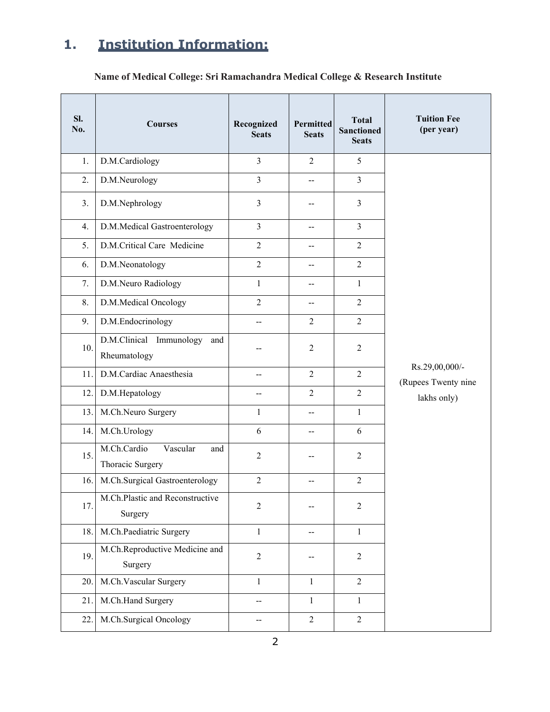## **1. Institution Information:**

**Name of Medical College: Sri Ramachandra Medical College & Research Institute**

| Sl.<br>No. | <b>Courses</b>                                     | Recognized<br><b>Seats</b> | <b>Permitted</b><br><b>Seats</b> | <b>Total</b><br><b>Sanctioned</b><br><b>Seats</b> | <b>Tuition Fee</b><br>(per year)                     |
|------------|----------------------------------------------------|----------------------------|----------------------------------|---------------------------------------------------|------------------------------------------------------|
| 1.         | D.M.Cardiology                                     | $\overline{\mathbf{3}}$    | $\overline{2}$                   | 5                                                 |                                                      |
| 2.         | D.M.Neurology                                      | $\overline{3}$             | --                               | $\overline{3}$                                    |                                                      |
| 3.         | D.M.Nephrology                                     | 3                          | --                               | 3                                                 |                                                      |
| 4.         | D.M.Medical Gastroenterology                       | $\overline{3}$             | --                               | $\overline{3}$                                    |                                                      |
| 5.         | D.M.Critical Care Medicine                         | $\overline{c}$             | $\overline{\phantom{a}}$         | $\overline{2}$                                    |                                                      |
| 6.         | D.M.Neonatology                                    | $\overline{2}$             | --                               | $\overline{2}$                                    | Rs.29,00,000/-<br>(Rupees Twenty nine<br>lakhs only) |
| 7.         | D.M.Neuro Radiology                                | $\mathbf{1}$               | --                               | $\mathbf{1}$                                      |                                                      |
| 8.         | D.M.Medical Oncology                               | $\overline{2}$             | —                                | $\overline{2}$                                    |                                                      |
| 9.         | D.M.Endocrinology                                  | --                         | $\overline{2}$                   | $\overline{2}$                                    |                                                      |
| 10.        | D.M.Clinical Immunology<br>and<br>Rheumatology     | --                         | $\overline{2}$                   | 2                                                 |                                                      |
| 11.        | D.M.Cardiac Anaesthesia                            | --                         | $\overline{2}$                   | $\overline{2}$                                    |                                                      |
| 12.        | D.M.Hepatology                                     | --                         | $\overline{2}$                   | $\overline{2}$                                    |                                                      |
| 13.        | M.Ch.Neuro Surgery                                 | $\mathbf{1}$               | --                               | $\mathbf{1}$                                      |                                                      |
| 14.        | M.Ch.Urology                                       | 6                          | --                               | 6                                                 |                                                      |
| 15.        | M.Ch.Cardio<br>Vascular<br>and<br>Thoracic Surgery | $\overline{c}$             | --                               | $\overline{2}$                                    |                                                      |
| 16.        | M.Ch.Surgical Gastroenterology                     | $\overline{2}$             | --                               | $\overline{2}$                                    |                                                      |
| 17.        | M.Ch.Plastic and Reconstructive<br>Surgery         | $\sqrt{2}$                 | --                               | $\overline{2}$                                    |                                                      |
| 18.        | M.Ch.Paediatric Surgery                            | $\mathbf{1}$               | $\mathbf{u}$                     | $\mathbf{1}$                                      |                                                      |
| 19.        | M.Ch.Reproductive Medicine and<br>Surgery          | $\overline{2}$             | --                               | $\overline{2}$                                    |                                                      |
| 20.        | M.Ch.Vascular Surgery                              | $\mathbf{1}$               | $\mathbf{1}$                     | $\overline{2}$                                    |                                                      |
| 21.        | M.Ch.Hand Surgery                                  | --                         | $\mathbf{1}$                     | $\mathbf{1}$                                      |                                                      |
| 22.        | M.Ch.Surgical Oncology                             | --                         | $\sqrt{2}$                       | $\overline{2}$                                    |                                                      |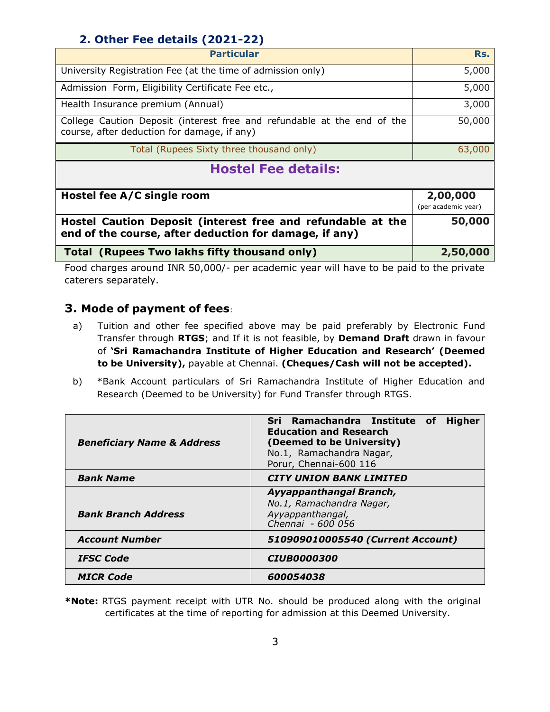#### **2. Other Fee details (2021-22)**

| <b>Particular</b>                                                                                                      | Rs.                             |
|------------------------------------------------------------------------------------------------------------------------|---------------------------------|
| University Registration Fee (at the time of admission only)                                                            | 5,000                           |
| Admission Form, Eligibility Certificate Fee etc.,                                                                      | 5,000                           |
| Health Insurance premium (Annual)                                                                                      | 3,000                           |
| College Caution Deposit (interest free and refundable at the end of the<br>course, after deduction for damage, if any) | 50,000                          |
| Total (Rupees Sixty three thousand only)                                                                               | 63,000                          |
| <b>Hostel Fee details:</b>                                                                                             |                                 |
| Hostel fee A/C single room                                                                                             | 2,00,000<br>(per academic year) |
| Hostel Caution Deposit (interest free and refundable at the<br>end of the course, after deduction for damage, if any)  | 50,000                          |
| Total (Rupees Two lakhs fifty thousand only)                                                                           | 2,50,000                        |

Food charges around INR 50,000/- per academic year will have to be paid to the private caterers separately.

#### **3. Mode of payment of fees**:

- a) Tuition and other fee specified above may be paid preferably by Electronic Fund Transfer through **RTGS**; and If it is not feasible, by **Demand Draft** drawn in favour of **'Sri Ramachandra Institute of Higher Education and Research' (Deemed to be University),** payable at Chennai. **(Cheques/Cash will not be accepted).**
- b) \*Bank Account particulars of Sri Ramachandra Institute of Higher Education and Research (Deemed to be University) for Fund Transfer through RTGS.

| <b>Beneficiary Name &amp; Address</b> | <b>Higher</b><br>Sri Ramachandra Institute of<br><b>Education and Research</b><br>(Deemed to be University)<br>No.1, Ramachandra Nagar,<br>Porur, Chennai-600 116 |
|---------------------------------------|-------------------------------------------------------------------------------------------------------------------------------------------------------------------|
| <b>Bank Name</b>                      | <b>CITY UNION BANK LIMITED</b>                                                                                                                                    |
| <b>Bank Branch Address</b>            | Ayyappanthangal Branch,<br>No.1, Ramachandra Nagar,<br>Ayyappanthangal,<br>Chennai - 600 056                                                                      |
| <b>Account Number</b>                 | 510909010005540 (Current Account)                                                                                                                                 |
| <b>IFSC Code</b>                      | <i>CIUB0000300</i>                                                                                                                                                |
| <b>MICR Code</b>                      | 600054038                                                                                                                                                         |

**\*Note:** RTGS payment receipt with UTR No. should be produced along with the original certificates at the time of reporting for admission at this Deemed University.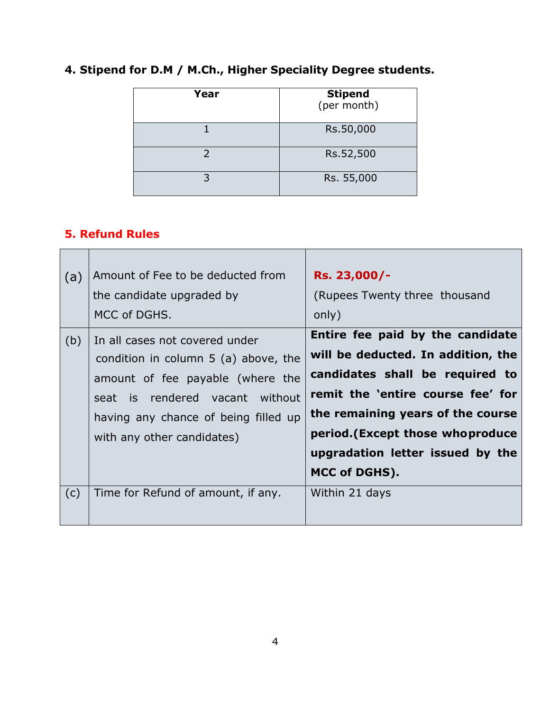| Year | <b>Stipend</b><br>(per month) |
|------|-------------------------------|
|      | Rs.50,000                     |
|      | Rs.52,500                     |
| 3    | Rs. 55,000                    |

### **4. Stipend for D.M / M.Ch., Higher Speciality Degree students.**

#### **5. Refund Rules**

| (a) | Amount of Fee to be deducted from      | Rs. 23,000/-                       |
|-----|----------------------------------------|------------------------------------|
|     | the candidate upgraded by              | (Rupees Twenty three thousand      |
|     | MCC of DGHS.                           | only)                              |
| (b) | In all cases not covered under         | Entire fee paid by the candidate   |
|     | condition in column $5$ (a) above, the | will be deducted. In addition, the |
|     | amount of fee payable (where the       | candidates shall be required to    |
|     | seat is rendered vacant without        | remit the 'entire course fee' for  |
|     | having any chance of being filled up   | the remaining years of the course  |
|     | with any other candidates)             | period. (Except those who produce  |
|     |                                        | upgradation letter issued by the   |
|     |                                        | MCC of DGHS).                      |
| (c) | Time for Refund of amount, if any.     | Within 21 days                     |
|     |                                        |                                    |
|     |                                        |                                    |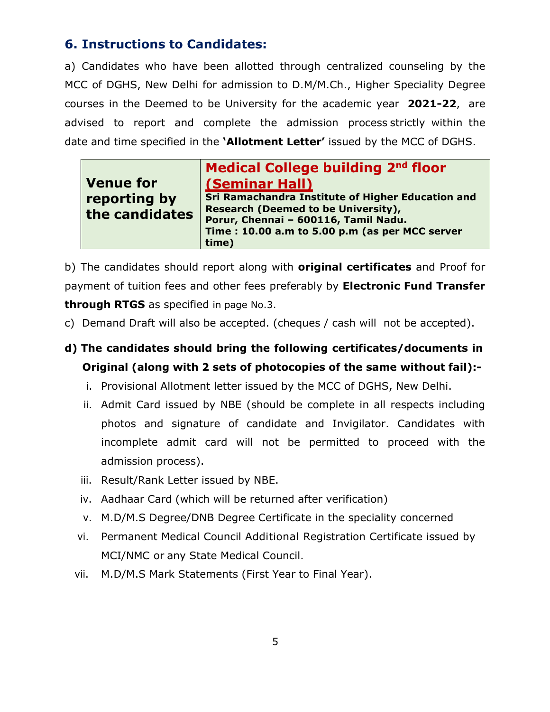#### **6. Instructions to Candidates:**

a) Candidates who have been allotted through centralized counseling by the MCC of DGHS, New Delhi for admission to D.M/M.Ch., Higher Speciality Degree courses in the Deemed to be University for the academic year **2021-22**, are advised to report and complete the admission process strictly within the date and time specified in the **'Allotment Letter'** issued by the MCC of DGHS.

|--|

b) The candidates should report along with **original certificates** and Proof for payment of tuition fees and other fees preferably by **Electronic Fund Transfer through RTGS** as specified in page No.3.

- c) Demand Draft will also be accepted. (cheques / cash will not be accepted).
- **d) The candidates should bring the following certificates/documents in Original (along with 2 sets of photocopies of the same without fail):**
	- i. Provisional Allotment letter issued by the MCC of DGHS, New Delhi.
	- ii. Admit Card issued by NBE (should be complete in all respects including photos and signature of candidate and Invigilator. Candidates with incomplete admit card will not be permitted to proceed with the admission process).
	- iii. Result/Rank Letter issued by NBE.
	- iv. Aadhaar Card (which will be returned after verification)
	- v. M.D/M.S Degree/DNB Degree Certificate in the speciality concerned
	- vi. Permanent Medical Council Additional Registration Certificate issued by MCI/NMC or any State Medical Council.
	- vii. M.D/M.S Mark Statements (First Year to Final Year).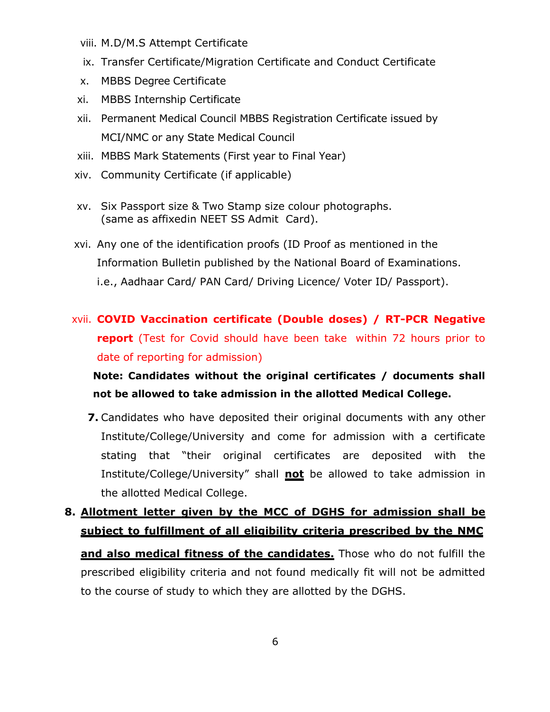- viii. M.D/M.S Attempt Certificate
- ix. Transfer Certificate/Migration Certificate and Conduct Certificate
- x. MBBS Degree Certificate
- xi. MBBS Internship Certificate
- xii. Permanent Medical Council MBBS Registration Certificate issued by MCI/NMC or any State Medical Council
- xiii. MBBS Mark Statements (First year to Final Year)
- xiv. Community Certificate (if applicable)
- xv. Six Passport size & Two Stamp size colour photographs. (same as affixedin NEET SS Admit Card).
- xvi. Any one of the identification proofs (ID Proof as mentioned in the Information Bulletin published by the National Board of Examinations. i.e., Aadhaar Card/ PAN Card/ Driving Licence/ Voter ID/ Passport).
- xvii. **COVID Vaccination certificate (Double doses) / RT-PCR Negative report** (Test for Covid should have been take within 72 hours prior to date of reporting for admission)

**Note: Candidates without the original certificates / documents shall not be allowed to take admission in the allotted Medical College.**

- **7.** Candidates who have deposited their original documents with any other Institute/College/University and come for admission with a certificate stating that "their original certificates are deposited with the Institute/College/University" shall **not** be allowed to take admission in the allotted Medical College.
- **8. Allotment letter given by the MCC of DGHS for admission shall be subject to fulfillment of all eligibility criteria prescribed by the NMC and also medical fitness of the candidates.** Those who do not fulfill the prescribed eligibility criteria and not found medically fit will not be admitted to the course of study to which they are allotted by the DGHS.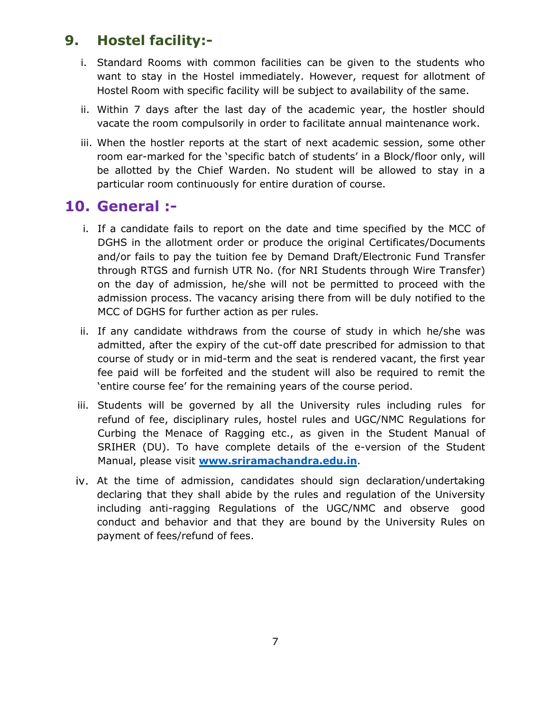### **9. Hostel facility:-**

- i. Standard Rooms with common facilities can be given to the students who want to stay in the Hostel immediately. However, request for allotment of Hostel Room with specific facility will be subject to availability of the same.
- ii. Within 7 days after the last day of the academic year, the hostler should vacate the room compulsorily in order to facilitate annual maintenance work.
- iii. When the hostler reports at the start of next academic session, some other room ear-marked for the 'specific batch of students' in a Block/floor only, will be allotted by the Chief Warden. No student will be allowed to stay in a particular room continuously for entire duration of course.

### **10. General :-**

- i. If a candidate fails to report on the date and time specified by the MCC of DGHS in the allotment order or produce the original Certificates/Documents and/or fails to pay the tuition fee by Demand Draft/Electronic Fund Transfer through RTGS and furnish UTR No. (for NRI Students through Wire Transfer) on the day of admission, he/she will not be permitted to proceed with the admission process. The vacancy arising there from will be duly notified to the MCC of DGHS for further action as per rules.
- ii. If any candidate withdraws from the course of study in which he/she was admitted, after the expiry of the cut-off date prescribed for admission to that course of study or in mid-term and the seat is rendered vacant, the first year fee paid will be forfeited and the student will also be required to remit the 'entire course fee' for the remaining years of the course period.
- iii. Students will be governed by all the University rules including rules for refund of fee, disciplinary rules, hostel rules and UGC/NMC Regulations for Curbing the Menace of Ragging etc., as given in the Student Manual of SRIHER (DU). To have complete details of the e-version of the Student Manual, please visit **[www.sriramachandra.edu.in](http://www.sriramachandra.edu.in/)**.
- iv. At the time of admission, candidates should sign declaration/undertaking declaring that they shall abide by the rules and regulation of the University including anti-ragging Regulations of the UGC/NMC and observe good conduct and behavior and that they are bound by the University Rules on payment of fees/refund of fees.